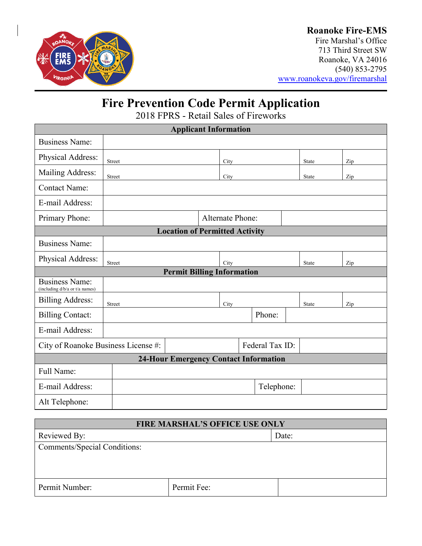

## **Roanoke Fire-EMS**

Fire Marshal's Office 713 Third Street SW Roanoke, VA 24016 (540) 853-2795 [www.roanokeva.gov/firemarshal](http://www.roanokeva.gov/firemarshal)

# **Fire Prevention Code Permit Application**

2018 FPRS - Retail Sales of Fireworks

| <b>Applicant Information</b>                            |               |  |                         |        |            |       |     |  |
|---------------------------------------------------------|---------------|--|-------------------------|--------|------------|-------|-----|--|
| <b>Business Name:</b>                                   |               |  |                         |        |            |       |     |  |
| Physical Address:                                       | Street        |  | City                    |        |            | State | Zip |  |
| Mailing Address:                                        | Street        |  | City                    |        |            | State | Zip |  |
| <b>Contact Name:</b>                                    |               |  |                         |        |            |       |     |  |
| E-mail Address:                                         |               |  |                         |        |            |       |     |  |
| Primary Phone:                                          |               |  | <b>Alternate Phone:</b> |        |            |       |     |  |
| <b>Location of Permitted Activity</b>                   |               |  |                         |        |            |       |     |  |
| <b>Business Name:</b>                                   |               |  |                         |        |            |       |     |  |
| Physical Address:                                       | Street        |  | City                    |        |            | State | Zip |  |
| <b>Permit Billing Information</b>                       |               |  |                         |        |            |       |     |  |
| <b>Business Name:</b><br>(including d/b/a or t/a names) |               |  |                         |        |            |       |     |  |
| <b>Billing Address:</b>                                 | <b>Street</b> |  | City                    |        |            | State | Zip |  |
| <b>Billing Contact:</b>                                 |               |  |                         | Phone: |            |       |     |  |
| E-mail Address:                                         |               |  |                         |        |            |       |     |  |
| City of Roanoke Business License #:                     |               |  | Federal Tax ID:         |        |            |       |     |  |
| <b>24-Hour Emergency Contact Information</b>            |               |  |                         |        |            |       |     |  |
| Full Name:                                              |               |  |                         |        |            |       |     |  |
| E-mail Address:                                         |               |  |                         |        | Telephone: |       |     |  |
| Alt Telephone:                                          |               |  |                         |        |            |       |     |  |

| <b>FIRE MARSHAL'S OFFICE USE ONLY</b> |             |       |  |
|---------------------------------------|-------------|-------|--|
| Reviewed By:                          |             | Date: |  |
| Comments/Special Conditions:          |             |       |  |
|                                       |             |       |  |
|                                       |             |       |  |
| Permit Number:                        | Permit Fee: |       |  |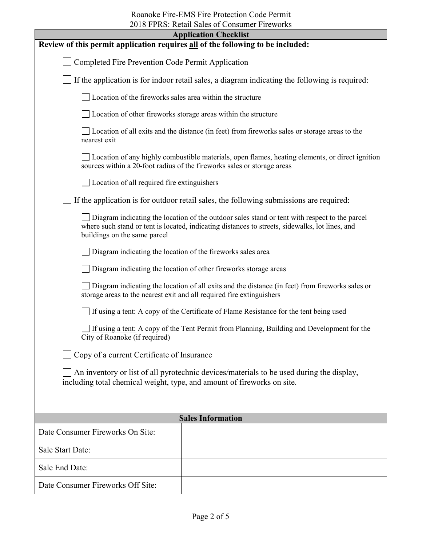| $2010$ I I RO. Retail bares of constant Theworks<br><b>Application Checklist</b>                                                                                                                                                 |                                                                                                 |  |
|----------------------------------------------------------------------------------------------------------------------------------------------------------------------------------------------------------------------------------|-------------------------------------------------------------------------------------------------|--|
| Review of this permit application requires all of the following to be included:                                                                                                                                                  |                                                                                                 |  |
| Completed Fire Prevention Code Permit Application                                                                                                                                                                                |                                                                                                 |  |
| If the application is for indoor retail sales, a diagram indicating the following is required:                                                                                                                                   |                                                                                                 |  |
| □ Location of the fireworks sales area within the structure                                                                                                                                                                      |                                                                                                 |  |
| □ Location of other fireworks storage areas within the structure                                                                                                                                                                 |                                                                                                 |  |
| nearest exit                                                                                                                                                                                                                     | Location of all exits and the distance (in feet) from fireworks sales or storage areas to the   |  |
| sources within a 20-foot radius of the fireworks sales or storage areas                                                                                                                                                          | Location of any highly combustible materials, open flames, heating elements, or direct ignition |  |
| Location of all required fire extinguishers                                                                                                                                                                                      |                                                                                                 |  |
| If the application is for <u>outdoor retail sales</u> , the following submissions are required:                                                                                                                                  |                                                                                                 |  |
| Diagram indicating the location of the outdoor sales stand or tent with respect to the parcel<br>where such stand or tent is located, indicating distances to streets, sidewalks, lot lines, and<br>buildings on the same parcel |                                                                                                 |  |
| Diagram indicating the location of the fireworks sales area                                                                                                                                                                      |                                                                                                 |  |
| Diagram indicating the location of other fireworks storage areas                                                                                                                                                                 |                                                                                                 |  |
| Diagram indicating the location of all exits and the distance (in feet) from fireworks sales or<br>storage areas to the nearest exit and all required fire extinguishers                                                         |                                                                                                 |  |
| If using a tent: A copy of the Certificate of Flame Resistance for the tent being used                                                                                                                                           |                                                                                                 |  |
| If using a tent: A copy of the Tent Permit from Planning, Building and Development for the<br>City of Roanoke (if required)                                                                                                      |                                                                                                 |  |
| Copy of a current Certificate of Insurance                                                                                                                                                                                       |                                                                                                 |  |
| An inventory or list of all pyrotechnic devices/materials to be used during the display,<br>including total chemical weight, type, and amount of fireworks on site.                                                              |                                                                                                 |  |
|                                                                                                                                                                                                                                  |                                                                                                 |  |
| <b>Sales Information</b>                                                                                                                                                                                                         |                                                                                                 |  |
| Date Consumer Fireworks On Site:                                                                                                                                                                                                 |                                                                                                 |  |
| <b>Sale Start Date:</b>                                                                                                                                                                                                          |                                                                                                 |  |
| Sale End Date:                                                                                                                                                                                                                   |                                                                                                 |  |
| Date Consumer Fireworks Off Site:                                                                                                                                                                                                |                                                                                                 |  |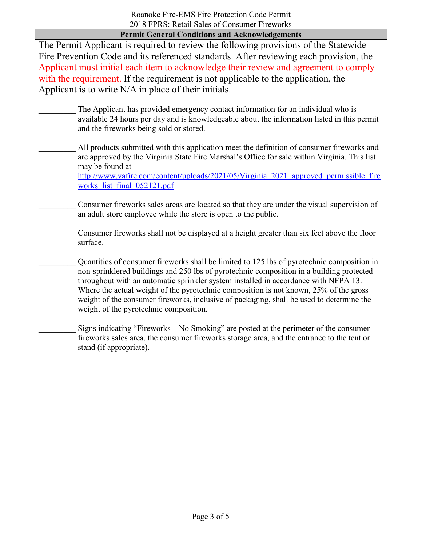**Permit General Conditions and Acknowledgements**

The Permit Applicant is required to review the following provisions of the Statewide Fire Prevention Code and its referenced standards. After reviewing each provision, the Applicant must initial each item to acknowledge their review and agreement to comply with the requirement. If the requirement is not applicable to the application, the Applicant is to write N/A in place of their initials.

- The Applicant has provided emergency contact information for an individual who is available 24 hours per day and is knowledgeable about the information listed in this permit and the fireworks being sold or stored.
- All products submitted with this application meet the definition of consumer fireworks and are approved by the Virginia State Fire Marshal's Office for sale within Virginia. This list may be found at [http://www.vafire.com/content/uploads/2021/05/Virginia\\_2021\\_approved\\_permissible\\_fire](http://www.vafire.com/content/uploads/2021/05/Virginia_2021_approved_permissible_fireworks_list_final_052121.pdf)

works list final 052121.pdf

- Consumer fireworks sales areas are located so that they are under the visual supervision of an adult store employee while the store is open to the public.
- \_\_\_\_\_\_\_\_\_ Consumer fireworks shall not be displayed at a height greater than six feet above the floor surface.
	- Quantities of consumer fireworks shall be limited to 125 lbs of pyrotechnic composition in non-sprinklered buildings and 250 lbs of pyrotechnic composition in a building protected throughout with an automatic sprinkler system installed in accordance with NFPA 13. Where the actual weight of the pyrotechnic composition is not known, 25% of the gross weight of the consumer fireworks, inclusive of packaging, shall be used to determine the weight of the pyrotechnic composition.
- Signs indicating "Fireworks No Smoking" are posted at the perimeter of the consumer fireworks sales area, the consumer fireworks storage area, and the entrance to the tent or stand (if appropriate).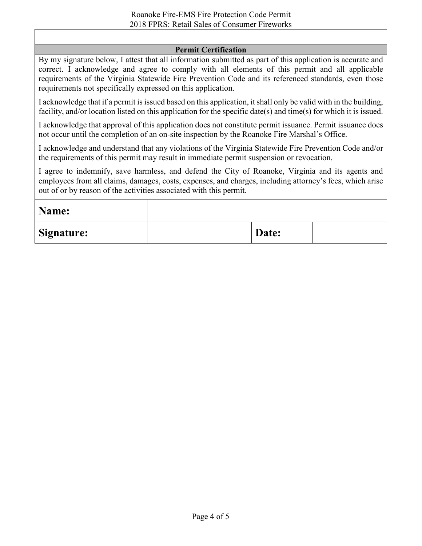#### **Permit Certification**

By my signature below, I attest that all information submitted as part of this application is accurate and correct. I acknowledge and agree to comply with all elements of this permit and all applicable requirements of the Virginia Statewide Fire Prevention Code and its referenced standards, even those requirements not specifically expressed on this application.

I acknowledge that if a permit is issued based on this application, it shall only be valid with in the building, facility, and/or location listed on this application for the specific date(s) and time(s) for which it is issued.

I acknowledge that approval of this application does not constitute permit issuance. Permit issuance does not occur until the completion of an on-site inspection by the Roanoke Fire Marshal's Office.

I acknowledge and understand that any violations of the Virginia Statewide Fire Prevention Code and/or the requirements of this permit may result in immediate permit suspension or revocation.

I agree to indemnify, save harmless, and defend the City of Roanoke, Virginia and its agents and employees from all claims, damages, costs, expenses, and charges, including attorney's fees, which arise out of or by reason of the activities associated with this permit.

| Name:             |       |  |
|-------------------|-------|--|
| <b>Signature:</b> | Date: |  |